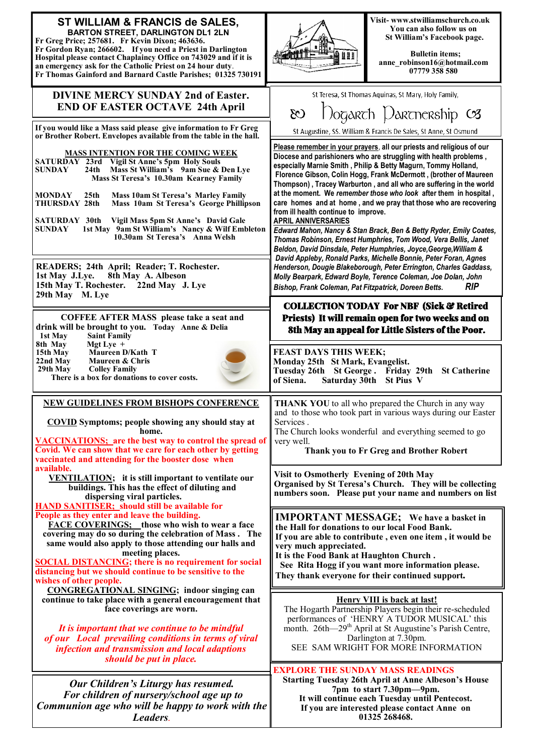| ST WILLIAM & FRANCIS de SALES,<br><b>BARTON STREET, DARLINGTON DL1 2LN</b><br>Fr Greg Price; 257681. Fr Kevin Dixon; 463636.<br>Fr Gordon Ryan; 266602. If you need a Priest in Darlington<br>Hospital please contact Chaplaincy Office on 743029 and if it is<br>an emergency ask for the Catholic Priest on 24 hour duty.<br>Fr Thomas Gainford and Barnard Castle Parishes; 01325 730191 | Visit-www.stwilliamschurch.co.uk<br>You can also follow us on<br>St William's Facebook page.<br><b>Bulletin items:</b><br>Auu<br>anne_robinson16@hotmail.com<br>07779 358 580                                                                                                                                                                            |
|---------------------------------------------------------------------------------------------------------------------------------------------------------------------------------------------------------------------------------------------------------------------------------------------------------------------------------------------------------------------------------------------|----------------------------------------------------------------------------------------------------------------------------------------------------------------------------------------------------------------------------------------------------------------------------------------------------------------------------------------------------------|
| <b>DIVINE MERCY SUNDAY 2nd of Easter.</b><br><b>END OF EASTER OCTAVE 24th April</b>                                                                                                                                                                                                                                                                                                         | St Teresa, St Thomas Aquinas, St Mary, Holy Family,<br>$D$ ogarch Darcnership $\infty$<br>$\infty$                                                                                                                                                                                                                                                       |
| If you would like a Mass said please give information to Fr Greg<br>or Brother Robert. Envelopes available from the table in the hall.                                                                                                                                                                                                                                                      | St Augustine, SS. William & Francis De Sales, St Anne, St Osmund                                                                                                                                                                                                                                                                                         |
| <b>MASS INTENTION FOR THE COMING WEEK</b><br>SATURDAY 23rd Vigil St Anne's 5pm Holy Souls<br>Mass St William's 9am Sue & Den Lye<br><b>SUNDAY</b><br>24th<br>Mass St Teresa's 10.30am Kearney Family                                                                                                                                                                                        | Please remember in your prayers, all our priests and religious of our<br>Diocese and parishioners who are struggling with health problems,<br>especially Marnie Smith, Philip & Betty Magurn, Tommy Holland,<br>Florence Gibson, Colin Hogg, Frank McDermott, (brother of Maureen<br>Thompson), Tracey Warburton, and all who are suffering in the world |
| <b>MONDAY</b><br><b>Mass 10am St Teresa's Marley Family</b><br>25 <sub>th</sub><br>THURSDAY 28th<br>Mass 10am St Teresa's George Phillipson                                                                                                                                                                                                                                                 | at the moment. We remember those who look after them in hospital,<br>care homes and at home, and we pray that those who are recovering<br>from ill health continue to improve.                                                                                                                                                                           |
| <b>SATURDAY 30th</b><br>Vigil Mass 5pm St Anne's David Gale<br>1st May 9am St William's Nancy & Wilf Embleton<br><b>SUNDAY</b><br>10.30am St Teresa's Anna Welsh                                                                                                                                                                                                                            | <b>APRIL ANNIVERSARIES</b><br>Edward Mahon, Nancy & Stan Brack, Ben & Betty Ryder, Emily Coates,<br>Thomas Robinson, Ernest Humphries, Tom Wood, Vera Bellis, Janet<br>Beldon, David Dinsdale, Peter Humphries, Joyce, George, William &<br>David Appleby, Ronald Parks, Michelle Bonnie, Peter Foran, Agnes                                             |
| READERS; 24th April; Reader; T. Rochester.<br>8th May A. Albeson<br>1st May J.Lye.<br>15th May T. Rochester.<br>22nd May J. Lye<br>29th May M. Lye                                                                                                                                                                                                                                          | Henderson, Dougie Blakeborough, Peter Errington, Charles Gaddass,<br>Molly Bearpark, Edward Boyle, Terence Coleman, Joe Dolan, John<br>RIP<br>Bishop, Frank Coleman, Pat Fitzpatrick, Doreen Betts.                                                                                                                                                      |
| <b>COFFEE AFTER MASS</b> please take a seat and<br>drink will be brought to you. Today Anne & Delia<br>1st May<br><b>Saint Family</b><br>8th May<br>Mgt Lye $+$                                                                                                                                                                                                                             | <b>COLLECTION TODAY For NBF (Sick &amp; Retired</b><br>Priests) It will remain open for two weeks and on<br>8th May an appeal for Little Sisters of the Poor.                                                                                                                                                                                            |
| Maureen D/Kath T<br>15th May<br>22nd May<br>Maureen & Chris<br>29th May<br><b>Colley Family</b><br>There is a box for donations to cover costs.                                                                                                                                                                                                                                             | <b>FEAST DAYS THIS WEEK;</b><br>Monday 25th St Mark, Evangelist.<br>Tuesday 26th St George. Friday 29th St Catherine<br>Saturday 30th<br>St Pius V<br>of Siena.                                                                                                                                                                                          |
| <b>NEW GUIDELINES FROM BISHOPS CONFERENCE</b><br><b>COVID</b> Symptoms; people showing any should stay at<br>home.                                                                                                                                                                                                                                                                          | THANK YOU to all who prepared the Church in any way<br>and to those who took part in various ways during our Easter<br>Services.                                                                                                                                                                                                                         |
| <b>VACCINATIONS:</b> are the best way to control the spread of<br>Covid. We can show that we care for each other by getting<br>vaccinated and attending for the booster dose when                                                                                                                                                                                                           | The Church looks wonderful and everything seemed to go<br>very well.<br>Thank you to Fr Greg and Brother Robert                                                                                                                                                                                                                                          |
| available.<br><b>VENTILATION</b> ; it is still important to ventilate our<br>buildings. This has the effect of diluting and<br>dispersing viral particles.<br><b>HAND SANITISER</b> ; should still be available for                                                                                                                                                                         | Visit to Osmotherly Evening of 20th May<br>Organised by St Teresa's Church. They will be collecting<br>numbers soon. Please put your name and numbers on list                                                                                                                                                                                            |
| People as they enter and leave the building.<br><b>FACE COVERINGS:</b> those who wish to wear a face<br>covering may do so during the celebration of Mass. The<br>same would also apply to those attending our halls and                                                                                                                                                                    | <b>IMPORTANT MESSAGE;</b> We have a basket in<br>the Hall for donations to our local Food Bank.<br>If you are able to contribute, even one item, it would be<br>very much appreciated.                                                                                                                                                                   |
| meeting places.<br><b>SOCIAL DISTANCING; there is no requirement for social</b><br>distancing but we should continue to be sensitive to the<br>wishes of other people.                                                                                                                                                                                                                      | It is the Food Bank at Haughton Church.<br>See Rita Hogg if you want more information please.<br>They thank everyone for their continued support.                                                                                                                                                                                                        |
| <b>CONGREGATIONAL SINGING; indoor singing can</b><br>continue to take place with a general encouragement that<br>face coverings are worn.                                                                                                                                                                                                                                                   | <b>Henry VIII is back at last!</b><br>The Hogarth Partnership Players begin their re-scheduled<br>performances of 'HENRY A TUDOR MUSICAL' this                                                                                                                                                                                                           |
| It is important that we continue to be mindful<br>of our Local prevailing conditions in terms of viral<br>infection and transmission and local adaptions<br>should be put in place.                                                                                                                                                                                                         | month. 26th-29 <sup>th</sup> April at St Augustine's Parish Centre,<br>Darlington at 7.30pm.<br>SEE SAM WRIGHT FOR MORE INFORMATION                                                                                                                                                                                                                      |
| Our Children's Liturgy has resumed.<br>For children of nursery/school age up to<br>Communion age who will be happy to work with the<br>Leaders.                                                                                                                                                                                                                                             | <b>EXPLORE THE SUNDAY MASS READINGS</b><br><b>Starting Tuesday 26th April at Anne Albeson's House</b><br>7pm to start 7.30pm-9pm.<br>It will continue each Tuesday until Pentecost.<br>If you are interested please contact Anne on<br>01325 268468.                                                                                                     |